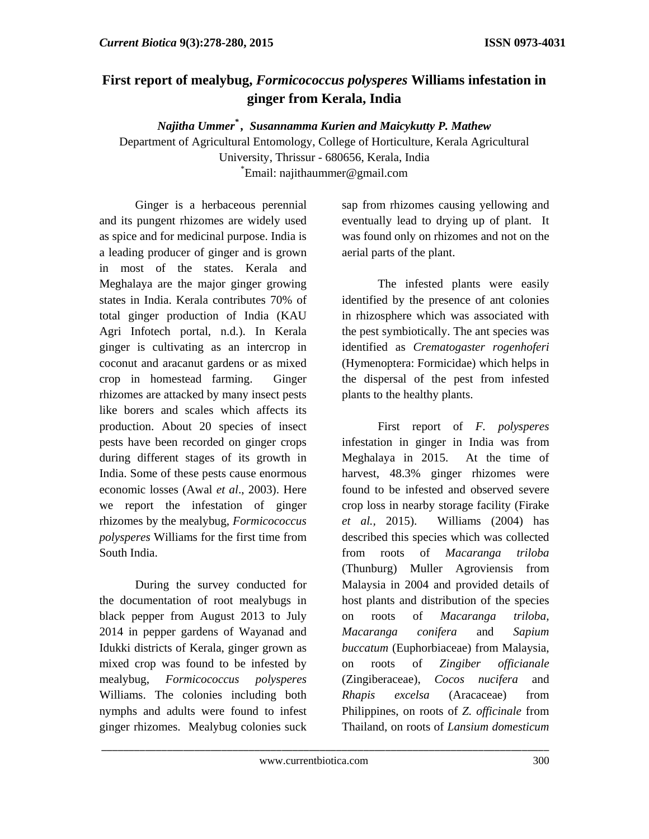## **First report of mealybug,** *Formicococcus polysperes* **Williams infestation in ginger from Kerala, India**

*Najitha Ummer\* , Susannamma Kurien and Maicykutty P. Mathew* 

Department of Agricultural Entomology, College of Horticulture, Kerala Agricultural University, Thrissur - 680656, Kerala, India \* Email: najithaummer@gmail.com

Ginger is a herbaceous perennial and its pungent rhizomes are widely used as spice and for medicinal purpose. India is a leading producer of ginger and is grown in most of the states. Kerala and Meghalaya are the major ginger growing states in India. Kerala contributes 70% of total ginger production of India (KAU Agri Infotech portal, n.d.). In Kerala ginger is cultivating as an intercrop in coconut and aracanut gardens or as mixed crop in homestead farming. Ginger rhizomes are attacked by many insect pests like borers and scales which affects its production. About 20 species of insect pests have been recorded on ginger crops during different stages of its growth in India. Some of these pests cause enormous economic losses (Awal *et al*., 2003). Here we report the infestation of ginger rhizomes by the mealybug, *Formicococcus polysperes* Williams for the first time from South India.

 During the survey conducted for the documentation of root mealybugs in black pepper from August 2013 to July 2014 in pepper gardens of Wayanad and Idukki districts of Kerala, ginger grown as mixed crop was found to be infested by mealybug, *Formicococcus polysperes*  Williams. The colonies including both nymphs and adults were found to infest ginger rhizomes. Mealybug colonies suck sap from rhizomes causing yellowing and eventually lead to drying up of plant. It was found only on rhizomes and not on the aerial parts of the plant.

 The infested plants were easily identified by the presence of ant colonies in rhizosphere which was associated with the pest symbiotically. The ant species was identified as *Crematogaster rogenhoferi*  (Hymenoptera: Formicidae) which helps in the dispersal of the pest from infested plants to the healthy plants.

 First report of *F. polysperes*  infestation in ginger in India was from Meghalaya in 2015. At the time of harvest, 48.3% ginger rhizomes were found to be infested and observed severe crop loss in nearby storage facility (Firake *et al.,* 2015). Williams (2004) has described this species which was collected from roots of *Macaranga triloba*  (Thunburg) Muller Agroviensis from Malaysia in 2004 and provided details of host plants and distribution of the species on roots of *Macaranga triloba, Macaranga conifera* and *Sapium buccatum* (Euphorbiaceae) from Malaysia, on roots of *Zingiber officianale*  (Zingiberaceae), *Cocos nucifera* and *Rhapis excelsa* (Aracaceae) from Philippines, on roots of *Z. officinale* from Thailand, on roots of *Lansium domesticum* 

\_\_\_\_\_\_\_\_\_\_\_\_\_\_\_\_\_\_\_\_\_\_\_\_\_\_\_\_\_\_\_\_\_\_\_\_\_\_\_\_\_\_\_\_\_\_\_\_\_\_\_\_\_\_\_\_\_\_\_\_\_\_\_\_\_\_\_\_\_\_\_\_\_\_\_\_\_\_\_\_\_\_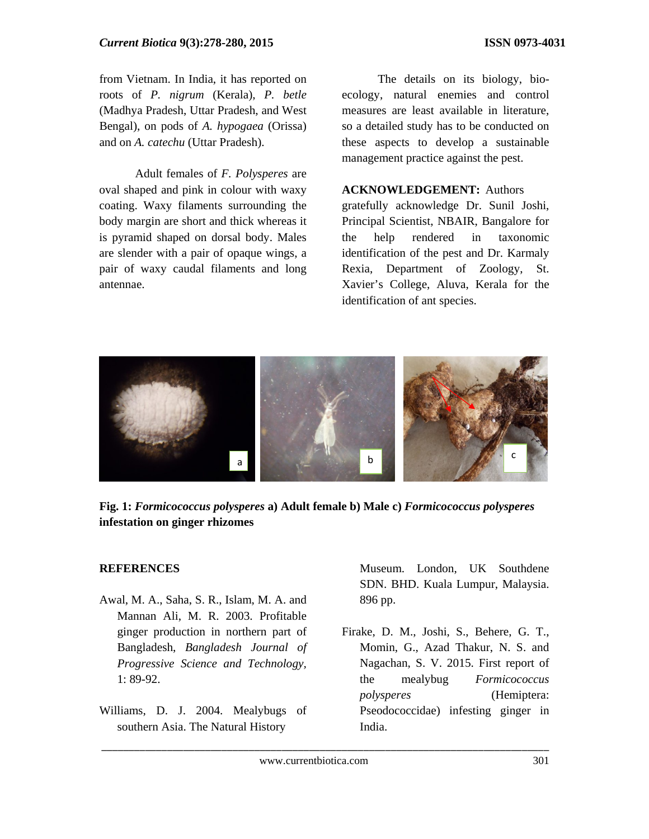from Vietnam. In India, it has reported on roots of *P. nigrum* (Kerala), *P. betle* (Madhya Pradesh, Uttar Pradesh, and West Bengal), on pods of *A. hypogaea* (Orissa) and on *A. catechu* (Uttar Pradesh).

 Adult females of *F. Polysperes* are oval shaped and pink in colour with waxy coating. Waxy filaments surrounding the body margin are short and thick whereas it is pyramid shaped on dorsal body. Males are slender with a pair of opaque wings, a pair of waxy caudal filaments and long antennae.

 The details on its biology, bioecology, natural enemies and control measures are least available in literature, so a detailed study has to be conducted on these aspects to develop a sustainable management practice against the pest.

## **ACKNOWLEDGEMENT:** Authors

gratefully acknowledge Dr. Sunil Joshi, Principal Scientist, NBAIR, Bangalore for the help rendered in taxonomic identification of the pest and Dr. Karmaly Rexia, Department of Zoology, St. Xavier's College, Aluva, Kerala for the identification of ant species.



**Fig. 1:** *Formicococcus polysperes* **a) Adult female b) Male c)** *Formicococcus polysperes*  **infestation on ginger rhizomes** 

## **REFERENCES**

- Awal, M. A., Saha, S. R., Islam, M. A. and Mannan Ali, M. R. 2003. Profitable ginger production in northern part of Bangladesh, *Bangladesh Journal of Progressive Science and Technology,* 1: 89-92.
- Williams, D. J. 2004. Mealybugs of southern Asia. The Natural History

Museum. London, UK Southdene SDN. BHD. Kuala Lumpur, Malaysia. 896 pp.

Firake, D. M., Joshi, S., Behere, G. T., Momin, G., Azad Thakur, N. S. and Nagachan, S. V. 2015. First report of the mealybug *Formicococcus polysperes* (Hemiptera: Pseodococcidae) infesting ginger in India.

\_\_\_\_\_\_\_\_\_\_\_\_\_\_\_\_\_\_\_\_\_\_\_\_\_\_\_\_\_\_\_\_\_\_\_\_\_\_\_\_\_\_\_\_\_\_\_\_\_\_\_\_\_\_\_\_\_\_\_\_\_\_\_\_\_\_\_\_\_\_\_\_\_\_\_\_\_\_\_\_\_\_